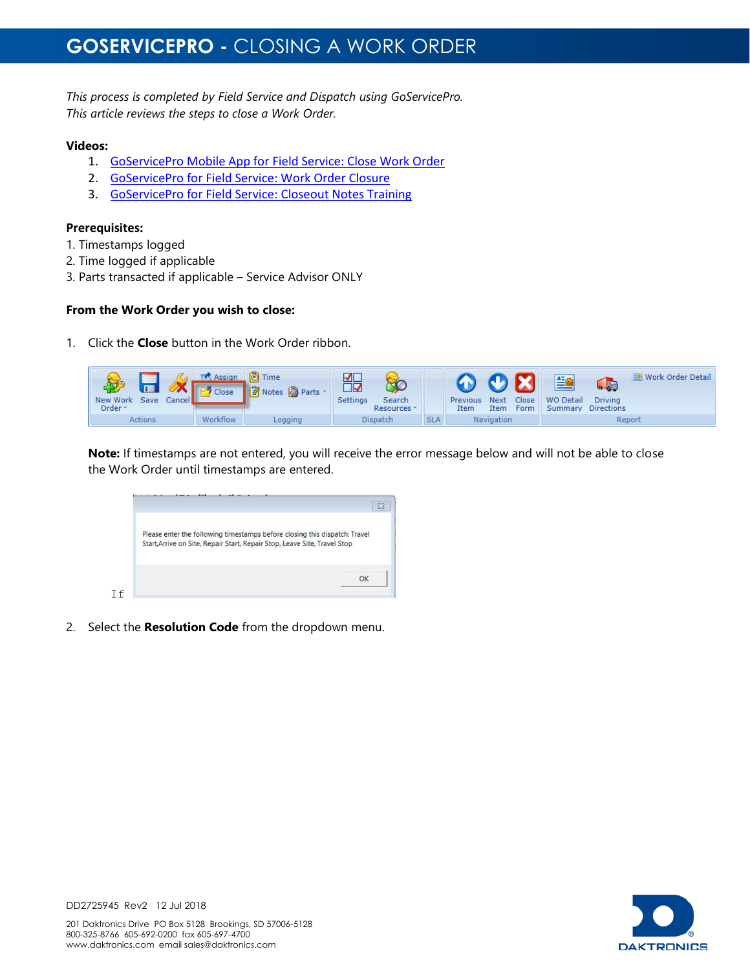## **GOSERVICEPRO -** CLOSING A WORK ORDER

*This process is completed by Field Service and Dispatch using GoServicePro. This article reviews the steps to close a Work Order.*

#### **Videos:**

- 1. [GoServicePro Mobile App for Field Service: Close Work Order](https://gm1.geolearning.com/geonext/daktronics/coursesummary.coursecatalog.geo?id=22507872363)
- 2. [GoServicePro for Field Service: Work Order Closure](https://gm1.geolearning.com/geonext/daktronics/coursesummary.coursecatalog.geo?id=22507558105)
- 3. [GoServicePro for Field Service:](https://gm1.geolearning.com/geonext/daktronics/coursesummary.coursecatalog.geo?id=22507796256) Closeout Notes Training

### **Prerequisites:**

- 1. Timestamps logged
- 2. Time logged if applicable
- 3. Parts transacted if applicable Service Advisor ONLY

### **From the Work Order you wish to close:**

1. Click the **Close** button in the Work Order ribbon.

| New Work Save Cancel Process 2 Notes & Parts<br>Order - |         | 꼶<br><b>Settings</b><br>Search<br>Resources * |            | Previous<br>Item | $\mathbf{O}$ X $\mathbf{E}$<br><b>Close</b><br>Next<br><b>Form</b><br>Item | <b>WO Detail</b><br><b>Summary Directions</b> | <b>GRE</b><br><b>Driving</b> | <b>Work Order Detail</b> |
|---------------------------------------------------------|---------|-----------------------------------------------|------------|------------------|----------------------------------------------------------------------------|-----------------------------------------------|------------------------------|--------------------------|
| <b>Workflow</b><br><b>Actions</b>                       | Logging | Dispatch                                      | <b>SLA</b> |                  | Navigation                                                                 |                                               | Report                       |                          |

**Note:** If timestamps are not entered, you will receive the error message below and will not be able to close the Work Order until timestamps are entered.

| Please enter the following timestamps before closing this dispatch: Travel<br>Start, Arrive on Site, Repair Start, Repair Stop, Leave Site, Travel Stop |  |
|---------------------------------------------------------------------------------------------------------------------------------------------------------|--|
|                                                                                                                                                         |  |

2. Select the **Resolution Code** from the dropdown menu.



DD2725945 Rev2 12 Jul 2018